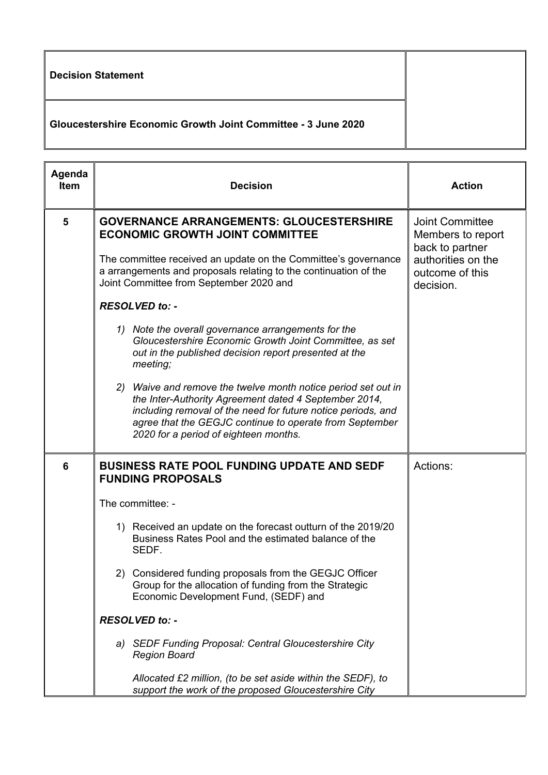| Decision Statement                                            |  |
|---------------------------------------------------------------|--|
| Gloucestershire Economic Growth Joint Committee - 3 June 2020 |  |

| Agenda<br><b>Item</b> | <b>Decision</b>                                                                                                                                                                                                                                                                            | <b>Action</b>                                                                        |
|-----------------------|--------------------------------------------------------------------------------------------------------------------------------------------------------------------------------------------------------------------------------------------------------------------------------------------|--------------------------------------------------------------------------------------|
| 5                     | <b>GOVERNANCE ARRANGEMENTS: GLOUCESTERSHIRE</b><br><b>ECONOMIC GROWTH JOINT COMMITTEE</b><br>The committee received an update on the Committee's governance                                                                                                                                | <b>Joint Committee</b><br>Members to report<br>back to partner<br>authorities on the |
|                       | a arrangements and proposals relating to the continuation of the<br>Joint Committee from September 2020 and                                                                                                                                                                                | outcome of this<br>decision.                                                         |
|                       | RESOLVED to: -                                                                                                                                                                                                                                                                             |                                                                                      |
|                       | 1) Note the overall governance arrangements for the<br>Gloucestershire Economic Growth Joint Committee, as set<br>out in the published decision report presented at the<br>meeting;                                                                                                        |                                                                                      |
|                       | 2) Waive and remove the twelve month notice period set out in<br>the Inter-Authority Agreement dated 4 September 2014,<br>including removal of the need for future notice periods, and<br>agree that the GEGJC continue to operate from September<br>2020 for a period of eighteen months. |                                                                                      |
| 6                     | <b>BUSINESS RATE POOL FUNDING UPDATE AND SEDF</b><br><b>FUNDING PROPOSALS</b>                                                                                                                                                                                                              | Actions:                                                                             |
|                       | The committee: -                                                                                                                                                                                                                                                                           |                                                                                      |
|                       | 1) Received an update on the forecast outturn of the 2019/20<br>Business Rates Pool and the estimated balance of the<br>SEDF.                                                                                                                                                              |                                                                                      |
|                       | 2) Considered funding proposals from the GEGJC Officer<br>Group for the allocation of funding from the Strategic<br>Economic Development Fund, (SEDF) and                                                                                                                                  |                                                                                      |
|                       | <b>RESOLVED to: -</b>                                                                                                                                                                                                                                                                      |                                                                                      |
|                       | a) SEDF Funding Proposal: Central Gloucestershire City<br><b>Region Board</b>                                                                                                                                                                                                              |                                                                                      |
|                       | Allocated $£2$ million, (to be set aside within the $SEDF$ ), to<br>support the work of the proposed Gloucestershire City                                                                                                                                                                  |                                                                                      |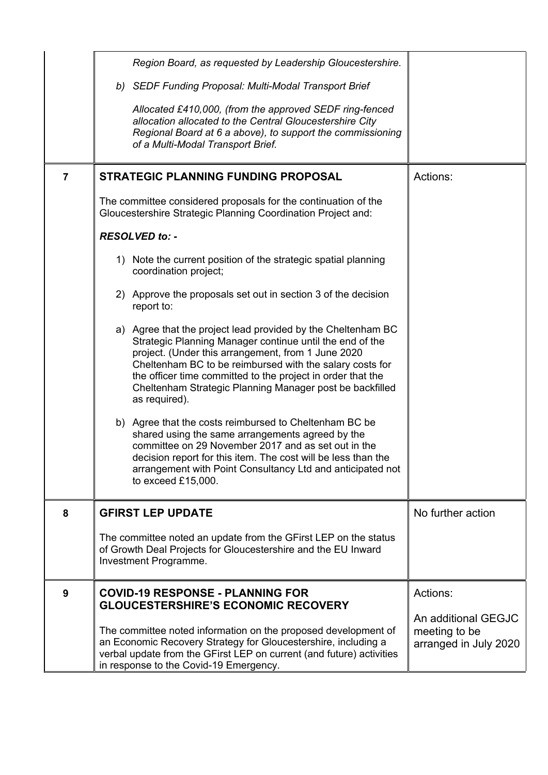|                | Region Board, as requested by Leadership Gloucestershire.                                                                                                                                                                                                                                                                                                                              |                                                               |
|----------------|----------------------------------------------------------------------------------------------------------------------------------------------------------------------------------------------------------------------------------------------------------------------------------------------------------------------------------------------------------------------------------------|---------------------------------------------------------------|
|                | b) SEDF Funding Proposal: Multi-Modal Transport Brief                                                                                                                                                                                                                                                                                                                                  |                                                               |
|                | Allocated £410,000, (from the approved SEDF ring-fenced<br>allocation allocated to the Central Gloucestershire City<br>Regional Board at 6 a above), to support the commissioning<br>of a Multi-Modal Transport Brief.                                                                                                                                                                 |                                                               |
| $\overline{7}$ | <b>STRATEGIC PLANNING FUNDING PROPOSAL</b>                                                                                                                                                                                                                                                                                                                                             | Actions:                                                      |
|                | The committee considered proposals for the continuation of the<br>Gloucestershire Strategic Planning Coordination Project and:                                                                                                                                                                                                                                                         |                                                               |
|                | <b>RESOLVED to: -</b>                                                                                                                                                                                                                                                                                                                                                                  |                                                               |
|                | 1) Note the current position of the strategic spatial planning<br>coordination project;                                                                                                                                                                                                                                                                                                |                                                               |
|                | 2) Approve the proposals set out in section 3 of the decision<br>report to:                                                                                                                                                                                                                                                                                                            |                                                               |
|                | a) Agree that the project lead provided by the Cheltenham BC<br>Strategic Planning Manager continue until the end of the<br>project. (Under this arrangement, from 1 June 2020<br>Cheltenham BC to be reimbursed with the salary costs for<br>the officer time committed to the project in order that the<br>Cheltenham Strategic Planning Manager post be backfilled<br>as required). |                                                               |
|                | b) Agree that the costs reimbursed to Cheltenham BC be<br>shared using the same arrangements agreed by the<br>committee on 29 November 2017 and as set out in the<br>decision report for this item. The cost will be less than the<br>arrangement with Point Consultancy Ltd and anticipated not<br>to exceed £15,000.                                                                 |                                                               |
| 8              | <b>GFIRST LEP UPDATE</b>                                                                                                                                                                                                                                                                                                                                                               | No further action                                             |
|                | The committee noted an update from the GFirst LEP on the status<br>of Growth Deal Projects for Gloucestershire and the EU Inward<br>Investment Programme.                                                                                                                                                                                                                              |                                                               |
| 9              | <b>COVID-19 RESPONSE - PLANNING FOR</b><br><b>GLOUCESTERSHIRE'S ECONOMIC RECOVERY</b>                                                                                                                                                                                                                                                                                                  | Actions:                                                      |
|                | The committee noted information on the proposed development of<br>an Economic Recovery Strategy for Gloucestershire, including a<br>verbal update from the GFirst LEP on current (and future) activities<br>in response to the Covid-19 Emergency.                                                                                                                                     | An additional GEGJC<br>meeting to be<br>arranged in July 2020 |